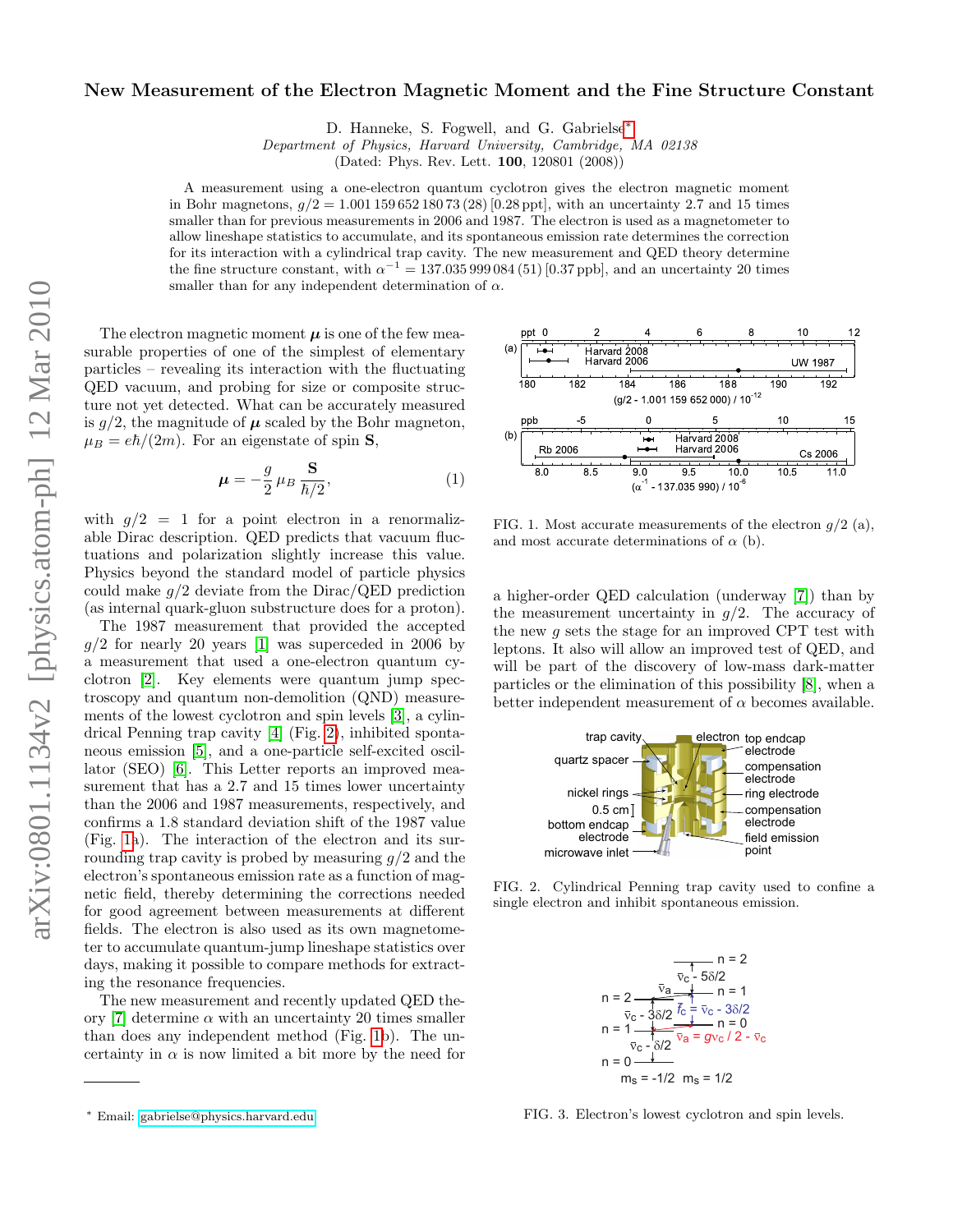## New Measurement of the Electron Magnetic Moment and the Fine Structure Constant

D. Hanneke, S. Fogwell, and G. Gabrielse[∗](#page-0-0)

Department of Physics, Harvard University, Cambridge, MA 02138

(Dated: Phys. Rev. Lett. 100, 120801 (2008))

A measurement using a one-electron quantum cyclotron gives the electron magnetic moment in Bohr magnetons,  $g/2 = 1.00115965218073(28)$  [0.28 ppt], with an uncertainty 2.7 and 15 times smaller than for previous measurements in 2006 and 1987. The electron is used as a magnetometer to allow lineshape statistics to accumulate, and its spontaneous emission rate determines the correction for its interaction with a cylindrical trap cavity. The new measurement and QED theory determine the fine structure constant, with  $\alpha^{-1} = 137.035999084(51)$  [0.37 ppb], and an uncertainty 20 times smaller than for any independent determination of  $\alpha$ .

The electron magnetic moment  $\mu$  is one of the few measurable properties of one of the simplest of elementary particles – revealing its interaction with the fluctuating QED vacuum, and probing for size or composite structure not yet detected. What can be accurately measured is  $g/2$ , the magnitude of  $\mu$  scaled by the Bohr magneton,  $\mu_B = e\hbar/(2m)$ . For an eigenstate of spin **S**,

$$
\mu = -\frac{g}{2} \mu_B \frac{\mathbf{S}}{\hbar/2},\tag{1}
$$

with  $g/2 = 1$  for a point electron in a renormalizable Dirac description. QED predicts that vacuum fluctuations and polarization slightly increase this value. Physics beyond the standard model of particle physics could make  $q/2$  deviate from the Dirac/QED prediction (as internal quark-gluon substructure does for a proton).

The 1987 measurement that provided the accepted  $q/2$  for nearly 20 years [\[1\]](#page-3-0) was superceded in 2006 by a measurement that used a one-electron quantum cyclotron [\[2\]](#page-3-1). Key elements were quantum jump spectroscopy and quantum non-demolition (QND) measurements of the lowest cyclotron and spin levels [\[3\]](#page-3-2), a cylindrical Penning trap cavity [\[4\]](#page-3-3) (Fig. [2\)](#page-0-1), inhibited spontaneous emission [\[5\]](#page-3-4), and a one-particle self-excited oscillator (SEO) [\[6\]](#page-3-5). This Letter reports an improved measurement that has a 2.7 and 15 times lower uncertainty than the 2006 and 1987 measurements, respectively, and confirms a 1.8 standard deviation shift of the 1987 value (Fig. [1a](#page-0-2)). The interaction of the electron and its surrounding trap cavity is probed by measuring  $q/2$  and the electron's spontaneous emission rate as a function of magnetic field, thereby determining the corrections needed for good agreement between measurements at different fields. The electron is also used as its own magnetometer to accumulate quantum-jump lineshape statistics over  $\frac{1}{2}$  days, making it possible to compare methods for extracting the resonance frequencies.

The new measurement and recently updated QED the-ory [\[7\]](#page-3-6) determine  $\alpha$  with an uncertainty 20 times smaller than does any independent method (Fig. [1b](#page-0-2)). The uncertainty in  $\alpha$  is now limited a bit more by the need for electrode



<span id="page-0-2"></span>FIG. 1. Most accurate measurements of the electron  $q/2$  (a), and most accurate determinations of  $\alpha$  (b).

a higher-order QED calculation (underway [\[7\]](#page-3-6)) than by the measurement uncertainty in  $g/2$ . The accuracy of the new  $g$  sets the stage for an improved CPT test with leptons. It also will allow an improved test of QED, and will be part of the discovery of low-mass dark-matter particles or the elimination of this possibility [\[8\]](#page-3-7), when a better independent measurement of  $\alpha$  becomes available.



<span id="page-0-1"></span>FIG. 2. Cylindrical Penning trap cavity used to confine a single electron and inhibit spontaneous emission.



<span id="page-0-3"></span>FIG. 3. Electron's lowest cyclotron and spin levels.

<span id="page-0-0"></span><sup>∗</sup> Email: [gabrielse@physics.harvard.edu](mailto:gabrielse@physics.harvard.edu)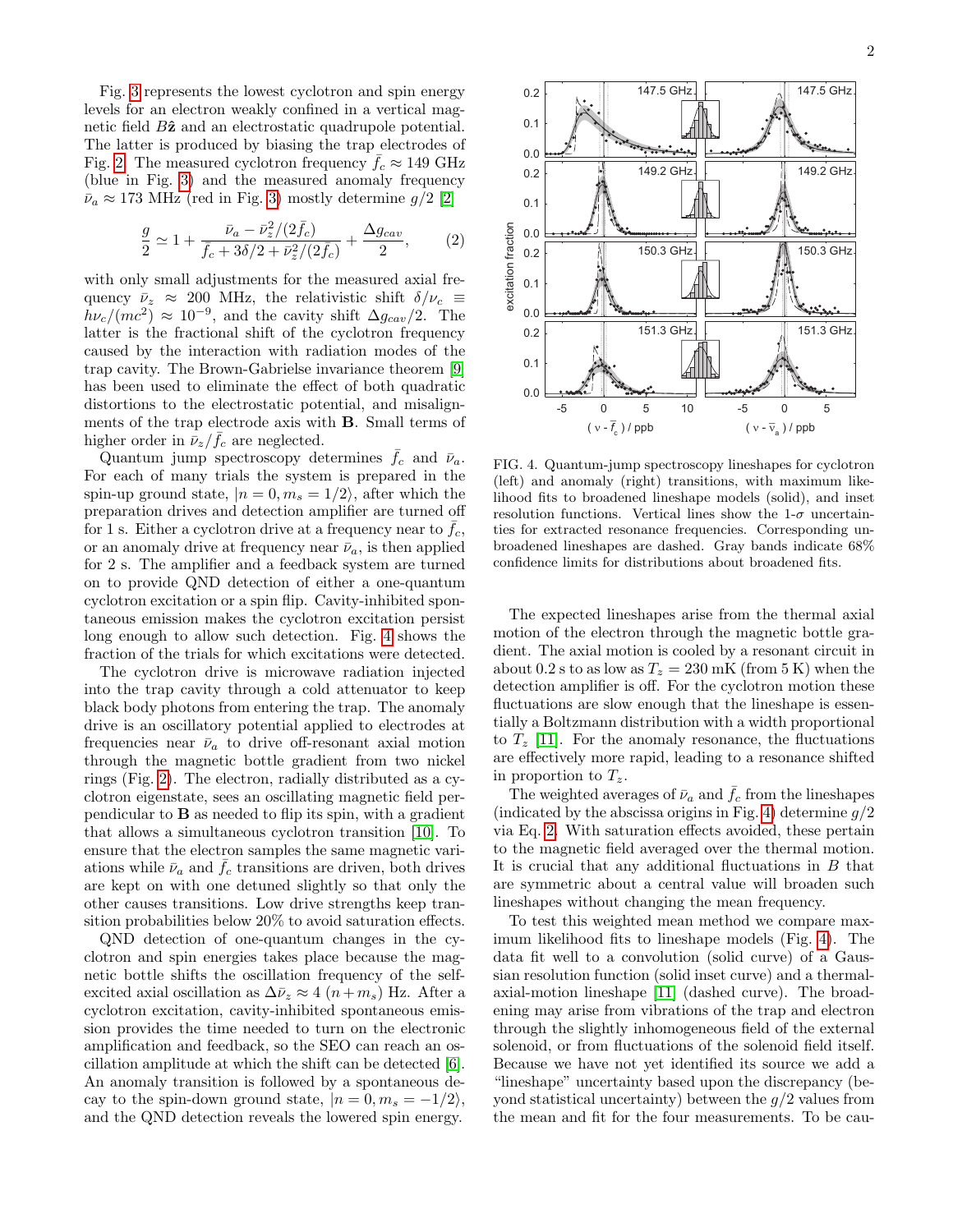Fig. [3](#page-0-3) represents the lowest cyclotron and spin energy levels for an electron weakly confined in a vertical magnetic field  $B\hat{z}$  and an electrostatic quadrupole potential. The latter is produced by biasing the trap electrodes of Fig. [2.](#page-0-1) The measured cyclotron frequency  $\bar{f}_c \approx 149 \text{ GHz}$ (blue in Fig. [3\)](#page-0-3) and the measured anomaly frequency  $\bar{\nu}_a \approx 173$  MHz (red in Fig. [3\)](#page-0-3) mostly determine  $q/2$  [\[2\]](#page-3-1)

<span id="page-1-1"></span>
$$
\frac{g}{2} \simeq 1 + \frac{\bar{\nu}_a - \bar{\nu}_z^2 / (2\bar{f}_c)}{\bar{f}_c + 3\delta/2 + \bar{\nu}_z^2 / (2\bar{f}_c)} + \frac{\Delta g_{cav}}{2},\qquad(2)
$$

with only small adjustments for the measured axial frequency  $\bar{\nu}_z \approx 200$  MHz, the relativistic shift  $\delta/\nu_c \equiv$  $h\nu_c/(mc^2) \approx 10^{-9}$ , and the cavity shift  $\Delta g_{cav}/2$ . The latter is the fractional shift of the cyclotron frequency caused by the interaction with radiation modes of the trap cavity. The Brown-Gabrielse invariance theorem [\[9\]](#page-3-8) has been used to eliminate the effect of both quadratic distortions to the electrostatic potential, and misalignments of the trap electrode axis with B. Small terms of higher order in  $\bar{\nu}_z/\bar{f}_c$  are neglected.

Quantum jump spectroscopy determines  $\bar{f}_c$  and  $\bar{\nu}_a$ . For each of many trials the system is prepared in the spin-up ground state,  $|n = 0, m_s = 1/2\rangle$ , after which the preparation drives and detection amplifier are turned off for 1 s. Either a cyclotron drive at a frequency near to  $\bar{f}_c$ , or an anomaly drive at frequency near  $\bar{\nu}_a$ , is then applied for 2 s. The amplifier and a feedback system are turned on to provide QND detection of either a one-quantum cyclotron excitation or a spin flip. Cavity-inhibited spontaneous emission makes the cyclotron excitation persist long enough to allow such detection. Fig. [4](#page-1-0) shows the fraction of the trials for which excitations were detected.

The cyclotron drive is microwave radiation injected into the trap cavity through a cold attenuator to keep black body photons from entering the trap. The anomaly drive is an oscillatory potential applied to electrodes at frequencies near  $\bar{\nu}_a$  to drive off-resonant axial motion through the magnetic bottle gradient from two nickel rings (Fig. [2\)](#page-0-1). The electron, radially distributed as a cyclotron eigenstate, sees an oscillating magnetic field perpendicular to B as needed to flip its spin, with a gradient that allows a simultaneous cyclotron transition [\[10\]](#page-3-9). To ensure that the electron samples the same magnetic variations while  $\bar{\nu}_a$  and  $\bar{f}_c$  transitions are driven, both drives are kept on with one detuned slightly so that only the other causes transitions. Low drive strengths keep transition probabilities below 20% to avoid saturation effects.

QND detection of one-quantum changes in the cyclotron and spin energies takes place because the magnetic bottle shifts the oscillation frequency of the selfexcited axial oscillation as  $\Delta \bar{\nu}_z \approx 4 (n+m_s)$  Hz. After a cyclotron excitation, cavity-inhibited spontaneous emission provides the time needed to turn on the electronic amplification and feedback, so the SEO can reach an oscillation amplitude at which the shift can be detected [\[6\]](#page-3-5). An anomaly transition is followed by a spontaneous decay to the spin-down ground state,  $|n = 0, m_s = -1/2\rangle$ , and the QND detection reveals the lowered spin energy.



<span id="page-1-0"></span>FIG. 4. Quantum-jump spectroscopy lineshapes for cyclotron (left) and anomaly (right) transitions, with maximum likelihood fits to broadened lineshape models (solid), and inset resolution functions. Vertical lines show the  $1-\sigma$  uncertainties for extracted resonance frequencies. Corresponding unbroadened lineshapes are dashed. Gray bands indicate 68% confidence limits for distributions about broadened fits.

The expected lineshapes arise from the thermal axial motion of the electron through the magnetic bottle gradient. The axial motion is cooled by a resonant circuit in about 0.2 s to as low as  $T_z = 230$  mK (from 5 K) when the detection amplifier is off. For the cyclotron motion these fluctuations are slow enough that the lineshape is essentially a Boltzmann distribution with a width proportional to  $T<sub>z</sub>$  [\[11\]](#page-3-10). For the anomaly resonance, the fluctuations are effectively more rapid, leading to a resonance shifted in proportion to  $T_z$ .

The weighted averages of  $\bar{\nu}_a$  and  $\bar{f}_c$  from the lineshapes (indicated by the abscissa origins in Fig. [4\)](#page-1-0) determine  $g/2$ via Eq. [2.](#page-1-1) With saturation effects avoided, these pertain to the magnetic field averaged over the thermal motion. It is crucial that any additional fluctuations in  $B$  that are symmetric about a central value will broaden such lineshapes without changing the mean frequency.

To test this weighted mean method we compare maximum likelihood fits to lineshape models (Fig. [4\)](#page-1-0). The data fit well to a convolution (solid curve) of a Gaussian resolution function (solid inset curve) and a thermalaxial-motion lineshape [\[11\]](#page-3-10) (dashed curve). The broadening may arise from vibrations of the trap and electron through the slightly inhomogeneous field of the external solenoid, or from fluctuations of the solenoid field itself. Because we have not yet identified its source we add a "lineshape" uncertainty based upon the discrepancy (beyond statistical uncertainty) between the  $q/2$  values from the mean and fit for the four measurements. To be cau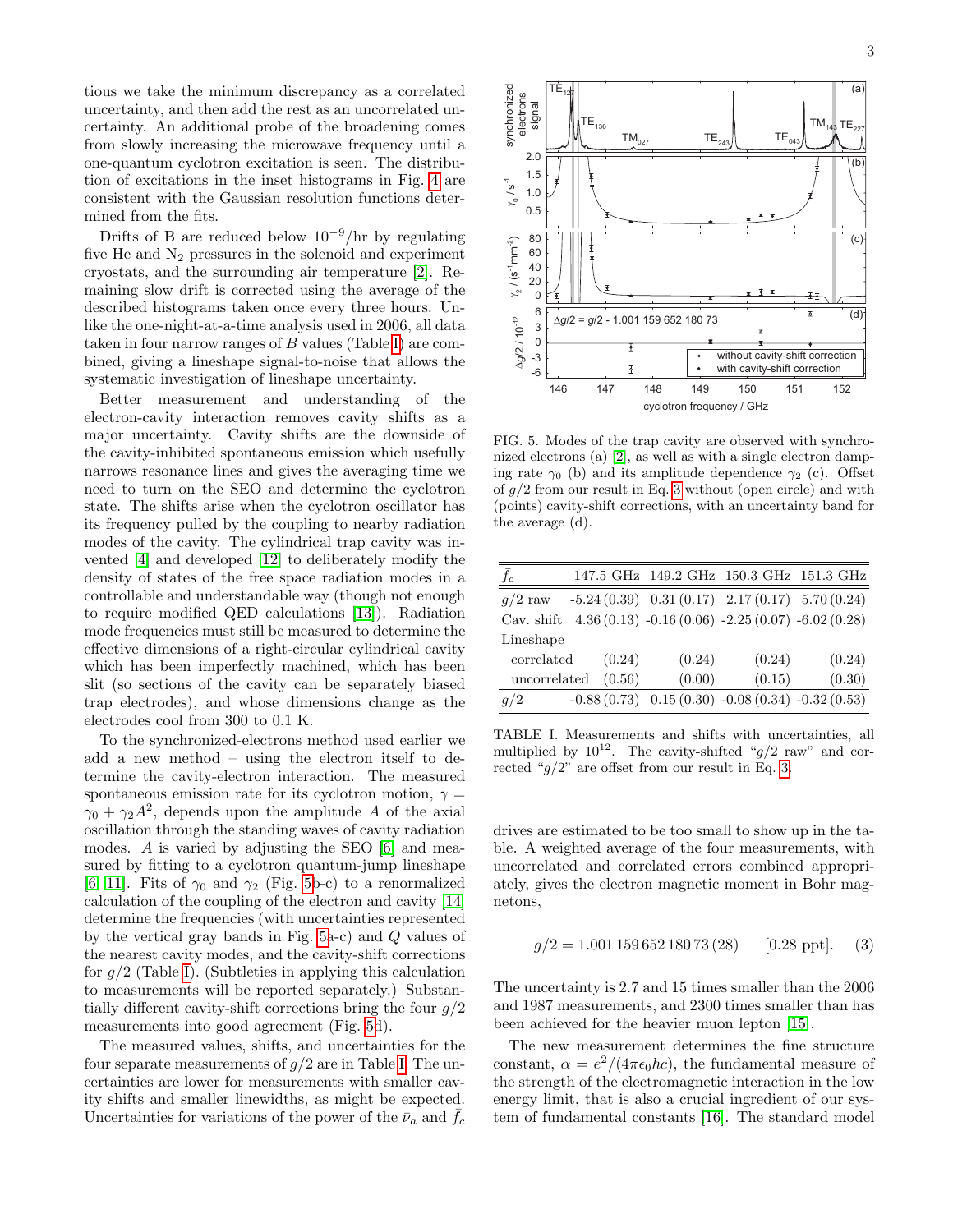tious we take the minimum discrepancy as a correlated uncertainty, and then add the rest as an uncorrelated uncertainty. An additional probe of the broadening comes from slowly increasing the microwave frequency until a one-quantum cyclotron excitation is seen. The distribution of excitations in the inset histograms in Fig. [4](#page-1-0) are consistent with the Gaussian resolution functions determined from the fits.

Drifts of B are reduced below  $10^{-9}$ /hr by regulating five He and  $N_2$  pressures in the solenoid and experiment cryostats, and the surrounding air temperature [\[2\]](#page-3-1). Remaining slow drift is corrected using the average of the described histograms taken once every three hours. Unlike the one-night-at-a-time analysis used in 2006, all data taken in four narrow ranges of  $B$  values (Table [I\)](#page-2-0) are combined, giving a lineshape signal-to-noise that allows the systematic investigation of lineshape uncertainty.

Better measurement and understanding of the electron-cavity interaction removes cavity shifts as a major uncertainty. Cavity shifts are the downside of the cavity-inhibited spontaneous emission which usefully narrows resonance lines and gives the averaging time we need to turn on the SEO and determine the cyclotron state. The shifts arise when the cyclotron oscillator has its frequency pulled by the coupling to nearby radiation modes of the cavity. The cylindrical trap cavity was invented [\[4\]](#page-3-3) and developed [\[12\]](#page-3-11) to deliberately modify the density of states of the free space radiation modes in a controllable and understandable way (though not enough to require modified QED calculations [\[13\]](#page-3-12)). Radiation mode frequencies must still be measured to determine the effective dimensions of a right-circular cylindrical cavity which has been imperfectly machined, which has been slit (so sections of the cavity can be separately biased trap electrodes), and whose dimensions change as the electrodes cool from 300 to 0.1 K.

To the synchronized-electrons method used earlier we add a new method – using the electron itself to determine the cavity-electron interaction. The measured spontaneous emission rate for its cyclotron motion,  $\gamma =$  $\gamma_0 + \gamma_2 A^2$ , depends upon the amplitude A of the axial oscillation through the standing waves of cavity radiation modes. A is varied by adjusting the SEO [\[6\]](#page-3-5) and measured by fitting to a cyclotron quantum-jump lineshape [\[6,](#page-3-5) [11\]](#page-3-10). Fits of  $\gamma_0$  and  $\gamma_2$  (Fig. [5b](#page-2-1)-c) to a renormalized calculation of the coupling of the electron and cavity [\[14\]](#page-3-13) determine the frequencies (with uncertainties represented by the vertical gray bands in Fig. [5a](#page-2-1)-c) and Q values of the nearest cavity modes, and the cavity-shift corrections for  $g/2$  (Table [I\)](#page-2-0). (Subtleties in applying this calculation to measurements will be reported separately.) Substantially different cavity-shift corrections bring the four  $q/2$ measurements into good agreement (Fig. [5d](#page-2-1)).

The measured values, shifts, and uncertainties for the four separate measurements of  $g/2$  are in Table [I.](#page-2-0) The uncertainties are lower for measurements with smaller cavity shifts and smaller linewidths, as might be expected. Uncertainties for variations of the power of the  $\bar{\nu}_a$  and  $f_c$ 



<span id="page-2-1"></span>FIG. 5. Modes of the trap cavity are observed with synchronized electrons (a) [\[2\]](#page-3-1), as well as with a single electron damping rate  $\gamma_0$  (b) and its amplitude dependence  $\gamma_2$  (c). Offset of  $g/2$  from our result in Eq. [3](#page-2-2) without (open circle) and with (points) cavity-shift corrections, with an uncertainty band for the average (d).

| $\bar{f}_c$  |               |        | 147.5 GHz 149.2 GHz 150.3 GHz 151.3 GHz              |        |
|--------------|---------------|--------|------------------------------------------------------|--------|
| $g/2$ raw    |               |        | $-5.24(0.39)$ $0.31(0.17)$ $2.17(0.17)$ $5.70(0.24)$ |        |
| Cav. shift   |               |        | $4.36(0.13) -0.16(0.06) -2.25(0.07) -6.02(0.28)$     |        |
| Lineshape    |               |        |                                                      |        |
| correlated   | (0.24)        | (0.24) | (0.24)                                               | (0.24) |
| uncorrelated | (0.56)        | (0.00) | (0.15)                                               | (0.30) |
| g/2          | $-0.88(0.73)$ |        | $0.15(0.30) -0.08(0.34) -0.32(0.53)$                 |        |

<span id="page-2-0"></span>TABLE I. Measurements and shifts with uncertainties, all multiplied by  $10^{12}$ . The cavity-shifted "g/2 raw" and corrected " $g/2$ " are offset from our result in Eq. [3.](#page-2-2)

drives are estimated to be too small to show up in the table. A weighted average of the four measurements, with uncorrelated and correlated errors combined appropriately, gives the electron magnetic moment in Bohr magnetons,

<span id="page-2-2"></span>
$$
g/2 = 1.001\,159\,652\,180\,73\,(28) \qquad [0.28\,\text{ppt}]. \tag{3}
$$

The uncertainty is 2.7 and 15 times smaller than the 2006 and 1987 measurements, and 2300 times smaller than has been achieved for the heavier muon lepton [\[15\]](#page-3-14).

The new measurement determines the fine structure constant,  $\alpha = e^2/(4\pi\epsilon_0\hbar c)$ , the fundamental measure of the strength of the electromagnetic interaction in the low energy limit, that is also a crucial ingredient of our system of fundamental constants [\[16\]](#page-3-15). The standard model